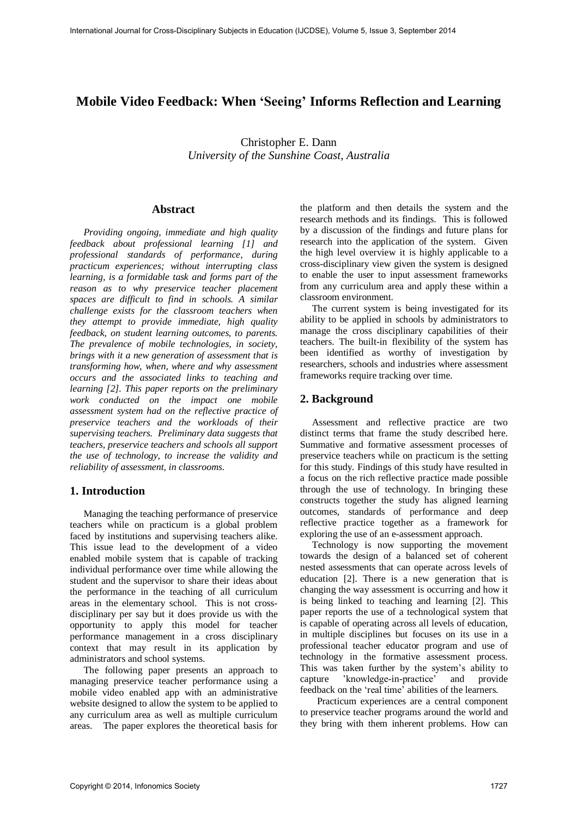# **Mobile Video Feedback: When 'Seeing' Informs Reflection and Learning**

Christopher E. Dann *University of the Sunshine Coast, Australia* 

### **Abstract**

*Providing ongoing, immediate and high quality feedback about professional learning [1] and professional standards of performance, during practicum experiences; without interrupting class learning, is a formidable task and forms part of the reason as to why preservice teacher placement spaces are difficult to find in schools. A similar challenge exists for the classroom teachers when they attempt to provide immediate, high quality feedback, on student learning outcomes, to parents. The prevalence of mobile technologies, in society, brings with it a new generation of assessment that is transforming how, when, where and why assessment occurs and the associated links to teaching and learning [2]. This paper reports on the preliminary work conducted on the impact one mobile assessment system had on the reflective practice of preservice teachers and the workloads of their supervising teachers. Preliminary data suggests that teachers, preservice teachers and schools all support the use of technology, to increase the validity and reliability of assessment, in classrooms.* 

#### **1. Introduction**

Managing the teaching performance of preservice teachers while on practicum is a global problem faced by institutions and supervising teachers alike. This issue lead to the development of a video enabled mobile system that is capable of tracking individual performance over time while allowing the student and the supervisor to share their ideas about the performance in the teaching of all curriculum areas in the elementary school. This is not crossdisciplinary per say but it does provide us with the opportunity to apply this model for teacher performance management in a cross disciplinary context that may result in its application by administrators and school systems.

The following paper presents an approach to managing preservice teacher performance using a mobile video enabled app with an administrative website designed to allow the system to be applied to any curriculum area as well as multiple curriculum areas. The paper explores the theoretical basis for the platform and then details the system and the research methods and its findings. This is followed by a discussion of the findings and future plans for research into the application of the system. Given the high level overview it is highly applicable to a cross-disciplinary view given the system is designed to enable the user to input assessment frameworks from any curriculum area and apply these within a classroom environment.

The current system is being investigated for its ability to be applied in schools by administrators to manage the cross disciplinary capabilities of their teachers. The built-in flexibility of the system has been identified as worthy of investigation by researchers, schools and industries where assessment frameworks require tracking over time.

### **2. Background**

Assessment and reflective practice are two distinct terms that frame the study described here. Summative and formative assessment processes of preservice teachers while on practicum is the setting for this study. Findings of this study have resulted in a focus on the rich reflective practice made possible through the use of technology. In bringing these constructs together the study has aligned learning outcomes, standards of performance and deep reflective practice together as a framework for exploring the use of an e-assessment approach.

Technology is now supporting the movement towards the design of a balanced set of coherent nested assessments that can operate across levels of education [2]. There is a new generation that is changing the way assessment is occurring and how it is being linked to teaching and learning [2]. This paper reports the use of a technological system that is capable of operating across all levels of education, in multiple disciplines but focuses on its use in a professional teacher educator program and use of technology in the formative assessment process. This was taken further by the system's ability to capture 'knowledge-in-practice' and provide feedback on the 'real time' abilities of the learners.

 Practicum experiences are a central component to preservice teacher programs around the world and they bring with them inherent problems. How can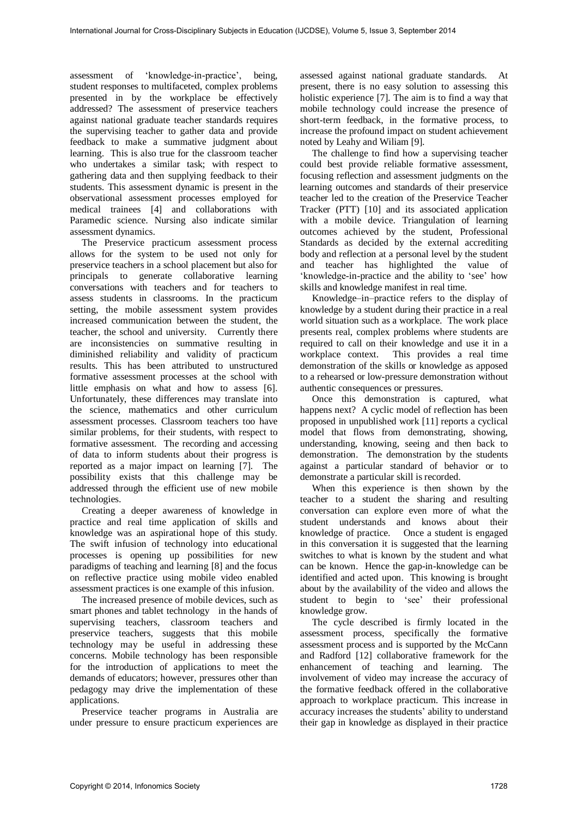assessment of 'knowledge-in-practice', being, student responses to multifaceted, complex problems presented in by the workplace be effectively addressed? The assessment of preservice teachers against national graduate teacher standards requires the supervising teacher to gather data and provide feedback to make a summative judgment about learning. This is also true for the classroom teacher who undertakes a similar task; with respect to gathering data and then supplying feedback to their students. This assessment dynamic is present in the observational assessment processes employed for medical trainees [4] and collaborations with Paramedic science. Nursing also indicate similar assessment dynamics.

The Preservice practicum assessment process allows for the system to be used not only for preservice teachers in a school placement but also for principals to generate collaborative learning conversations with teachers and for teachers to assess students in classrooms. In the practicum setting, the mobile assessment system provides increased communication between the student, the teacher, the school and university. Currently there are inconsistencies on summative resulting in diminished reliability and validity of practicum results. This has been attributed to unstructured formative assessment processes at the school with little emphasis on what and how to assess [6]. Unfortunately, these differences may translate into the science, mathematics and other curriculum assessment processes. Classroom teachers too have similar problems, for their students, with respect to formative assessment. The recording and accessing of data to inform students about their progress is reported as a major impact on learning [7]. The possibility exists that this challenge may be addressed through the efficient use of new mobile technologies.

Creating a deeper awareness of knowledge in practice and real time application of skills and knowledge was an aspirational hope of this study. The swift infusion of technology into educational processes is opening up possibilities for new paradigms of teaching and learning [8] and the focus on reflective practice using mobile video enabled assessment practices is one example of this infusion.

The increased presence of mobile devices, such as smart phones and tablet technology in the hands of supervising teachers, classroom teachers and preservice teachers, suggests that this mobile technology may be useful in addressing these concerns. Mobile technology has been responsible for the introduction of applications to meet the demands of educators; however, pressures other than pedagogy may drive the implementation of these applications.

Preservice teacher programs in Australia are under pressure to ensure practicum experiences are assessed against national graduate standards. At present, there is no easy solution to assessing this holistic experience [7]. The aim is to find a way that mobile technology could increase the presence of short-term feedback, in the formative process, to increase the profound impact on student achievement noted by Leahy and Wiliam [9].

The challenge to find how a supervising teacher could best provide reliable formative assessment, focusing reflection and assessment judgments on the learning outcomes and standards of their preservice teacher led to the creation of the Preservice Teacher Tracker (PTT) [10] and its associated application with a mobile device. Triangulation of learning outcomes achieved by the student, Professional Standards as decided by the external accrediting body and reflection at a personal level by the student and teacher has highlighted the value of 'knowledge-in-practice and the ability to 'see' how skills and knowledge manifest in real time.

Knowledge–in–practice refers to the display of knowledge by a student during their practice in a real world situation such as a workplace. The work place presents real, complex problems where students are required to call on their knowledge and use it in a workplace context. This provides a real time demonstration of the skills or knowledge as apposed to a rehearsed or low-pressure demonstration without authentic consequences or pressures.

Once this demonstration is captured, what happens next? A cyclic model of reflection has been proposed in unpublished work [11] reports a cyclical model that flows from demonstrating, showing, understanding, knowing, seeing and then back to demonstration. The demonstration by the students against a particular standard of behavior or to demonstrate a particular skill is recorded.

When this experience is then shown by the teacher to a student the sharing and resulting conversation can explore even more of what the student understands and knows about their knowledge of practice. Once a student is engaged in this conversation it is suggested that the learning switches to what is known by the student and what can be known. Hence the gap-in-knowledge can be identified and acted upon. This knowing is brought about by the availability of the video and allows the student to begin to 'see' their professional knowledge grow.

The cycle described is firmly located in the assessment process, specifically the formative assessment process and is supported by the McCann and Radford [12] collaborative framework for the enhancement of teaching and learning. The involvement of video may increase the accuracy of the formative feedback offered in the collaborative approach to workplace practicum. This increase in accuracy increases the students' ability to understand their gap in knowledge as displayed in their practice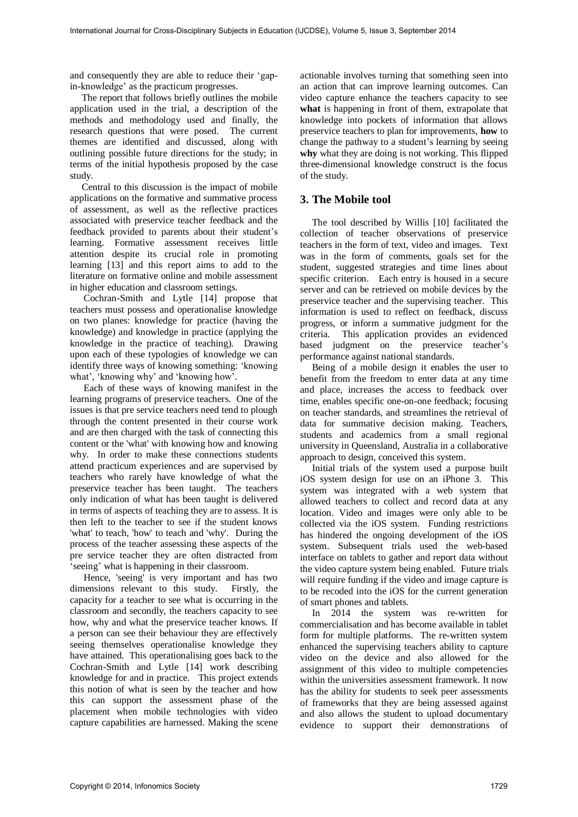and consequently they are able to reduce their 'gapin-knowledge' as the practicum progresses.

The report that follows briefly outlines the mobile application used in the trial, a description of the methods and methodology used and finally, the research questions that were posed. The current themes are identified and discussed, along with outlining possible future directions for the study; in terms of the initial hypothesis proposed by the case study.

Central to this discussion is the impact of mobile applications on the formative and summative process of assessment, as well as the reflective practices associated with preservice teacher feedback and the feedback provided to parents about their student's learning. Formative assessment receives little attention despite its crucial role in promoting learning [13] and this report aims to add to the literature on formative online and mobile assessment in higher education and classroom settings.

Cochran-Smith and Lytle [14] propose that teachers must possess and operationalise knowledge on two planes: knowledge for practice (having the knowledge) and knowledge in practice (applying the knowledge in the practice of teaching). Drawing upon each of these typologies of knowledge we can identify three ways of knowing something: 'knowing what', 'knowing why' and 'knowing how'.

Each of these ways of knowing manifest in the learning programs of preservice teachers. One of the issues is that pre service teachers need tend to plough through the content presented in their course work and are then charged with the task of connecting this content or the 'what' with knowing how and knowing why. In order to make these connections students attend practicum experiences and are supervised by teachers who rarely have knowledge of what the preservice teacher has been taught. The teachers only indication of what has been taught is delivered in terms of aspects of teaching they are to assess. It is then left to the teacher to see if the student knows 'what' to teach, 'how' to teach and 'why'. During the process of the teacher assessing these aspects of the pre service teacher they are often distracted from 'seeing' what is happening in their classroom.

Hence, 'seeing' is very important and has two dimensions relevant to this study. Firstly, the capacity for a teacher to see what is occurring in the classroom and secondly, the teachers capacity to see how, why and what the preservice teacher knows. If a person can see their behaviour they are effectively seeing themselves operationalise knowledge they have attained. This operationalising goes back to the Cochran-Smith and Lytle [14] work describing knowledge for and in practice. This project extends this notion of what is seen by the teacher and how this can support the assessment phase of the placement when mobile technologies with video capture capabilities are harnessed. Making the scene

actionable involves turning that something seen into an action that can improve learning outcomes. Can video capture enhance the teachers capacity to see **what** is happening in front of them, extrapolate that knowledge into pockets of information that allows preservice teachers to plan for improvements, **how** to change the pathway to a student's learning by seeing **why** what they are doing is not working. This flipped three-dimensional knowledge construct is the focus of the study.

### **3. The Mobile tool**

The tool described by Willis [10] facilitated the collection of teacher observations of preservice teachers in the form of text, video and images. Text was in the form of comments, goals set for the student, suggested strategies and time lines about specific criterion. Each entry is housed in a secure server and can be retrieved on mobile devices by the preservice teacher and the supervising teacher. This information is used to reflect on feedback, discuss progress, or inform a summative judgment for the criteria. This application provides an evidenced based judgment on the preservice teacher's performance against national standards.

Being of a mobile design it enables the user to benefit from the freedom to enter data at any time and place, increases the access to feedback over time, enables specific one-on-one feedback; focusing on teacher standards, and streamlines the retrieval of data for summative decision making. Teachers, students and academics from a small regional university in Queensland, Australia in a collaborative approach to design, conceived this system.

Initial trials of the system used a purpose built iOS system design for use on an iPhone 3. This system was integrated with a web system that allowed teachers to collect and record data at any location. Video and images were only able to be collected via the iOS system. Funding restrictions has hindered the ongoing development of the iOS system. Subsequent trials used the web-based interface on tablets to gather and report data without the video capture system being enabled. Future trials will require funding if the video and image capture is to be recoded into the iOS for the current generation of smart phones and tablets.

In 2014 the system was re-written for commercialisation and has become available in tablet form for multiple platforms. The re-written system enhanced the supervising teachers ability to capture video on the device and also allowed for the assignment of this video to multiple competencies within the universities assessment framework. It now has the ability for students to seek peer assessments of frameworks that they are being assessed against and also allows the student to upload documentary evidence to support their demonstrations of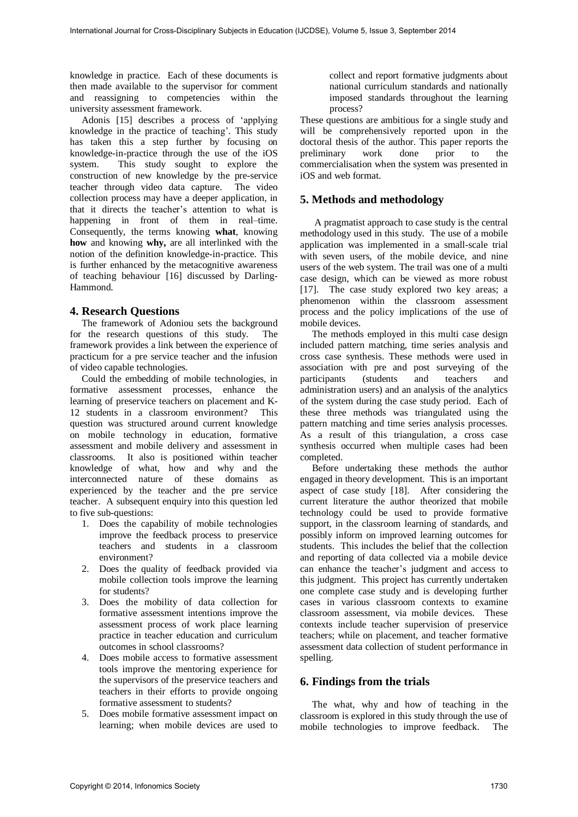knowledge in practice. Each of these documents is then made available to the supervisor for comment and reassigning to competencies within the university assessment framework.

Adonis [15] describes a process of 'applying knowledge in the practice of teaching'. This study has taken this a step further by focusing on knowledge-in-practice through the use of the iOS system. This study sought to explore the construction of new knowledge by the pre-service teacher through video data capture. The video collection process may have a deeper application, in that it directs the teacher's attention to what is happening in front of them in real–time. Consequently, the terms knowing **what**, knowing **how** and knowing **why,** are all interlinked with the notion of the definition knowledge-in-practice. This is further enhanced by the metacognitive awareness of teaching behaviour [16] discussed by Darling-Hammond.

#### **4. Research Questions**

The framework of Adoniou sets the background for the research questions of this study. The framework provides a link between the experience of practicum for a pre service teacher and the infusion of video capable technologies.

Could the embedding of mobile technologies, in formative assessment processes, enhance the learning of preservice teachers on placement and K-12 students in a classroom environment? This question was structured around current knowledge on mobile technology in education, formative assessment and mobile delivery and assessment in classrooms. It also is positioned within teacher knowledge of what, how and why and the interconnected nature of these domains as experienced by the teacher and the pre service teacher. A subsequent enquiry into this question led to five sub-questions:

- 1. Does the capability of mobile technologies improve the feedback process to preservice teachers and students in a classroom environment?
- 2. Does the quality of feedback provided via mobile collection tools improve the learning for students?
- 3. Does the mobility of data collection for formative assessment intentions improve the assessment process of work place learning practice in teacher education and curriculum outcomes in school classrooms?
- 4. Does mobile access to formative assessment tools improve the mentoring experience for the supervisors of the preservice teachers and teachers in their efforts to provide ongoing formative assessment to students?
- 5. Does mobile formative assessment impact on learning; when mobile devices are used to

collect and report formative judgments about national curriculum standards and nationally imposed standards throughout the learning process?

These questions are ambitious for a single study and will be comprehensively reported upon in the doctoral thesis of the author. This paper reports the preliminary work done prior to the preliminary work done prior to the commercialisation when the system was presented in iOS and web format.

# **5. Methods and methodology**

 A pragmatist approach to case study is the central methodology used in this study. The use of a mobile application was implemented in a small-scale trial with seven users, of the mobile device, and nine users of the web system. The trail was one of a multi case design, which can be viewed as more robust [17]. The case study explored two key areas; a phenomenon within the classroom assessment process and the policy implications of the use of mobile devices.

The methods employed in this multi case design included pattern matching, time series analysis and cross case synthesis. These methods were used in association with pre and post surveying of the participants (students and teachers and administration users) and an analysis of the analytics of the system during the case study period. Each of these three methods was triangulated using the pattern matching and time series analysis processes. As a result of this triangulation, a cross case synthesis occurred when multiple cases had been completed.

Before undertaking these methods the author engaged in theory development. This is an important aspect of case study [18]. After considering the current literature the author theorized that mobile technology could be used to provide formative support, in the classroom learning of standards, and possibly inform on improved learning outcomes for students. This includes the belief that the collection and reporting of data collected via a mobile device can enhance the teacher's judgment and access to this judgment. This project has currently undertaken one complete case study and is developing further cases in various classroom contexts to examine classroom assessment, via mobile devices. These contexts include teacher supervision of preservice teachers; while on placement, and teacher formative assessment data collection of student performance in spelling.

### **6. Findings from the trials**

The what, why and how of teaching in the classroom is explored in this study through the use of mobile technologies to improve feedback. The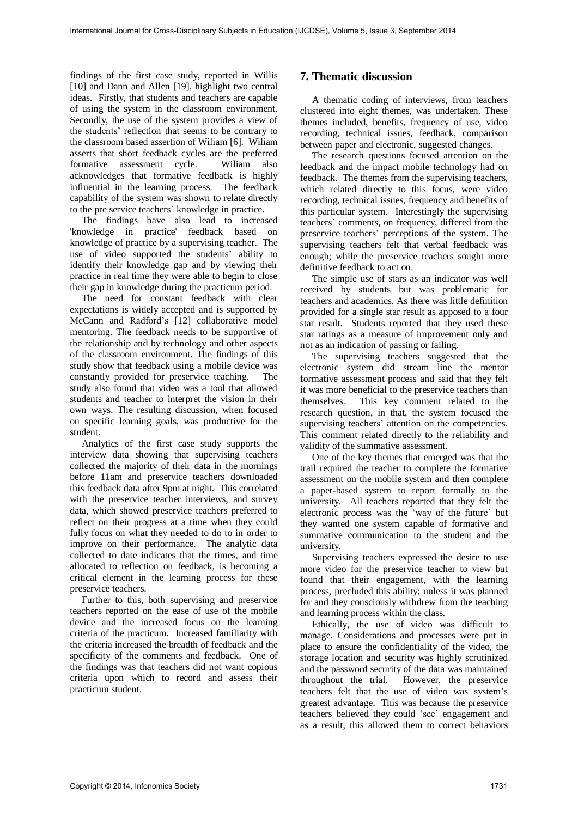findings of the first case study, reported in Willis [10] and Dann and Allen [19], highlight two central ideas. Firstly, that students and teachers are capable of using the system in the classroom environment. Secondly, the use of the system provides a view of the students' reflection that seems to be contrary to the classroom based assertion of Wiliam [6]. Wiliam asserts that short feedback cycles are the preferred formative assessment cycle. Wiliam also acknowledges that formative feedback is highly influential in the learning process. The feedback capability of the system was shown to relate directly to the pre service teachers' knowledge in practice.

The findings have also lead to increased 'knowledge in practice' feedback based on knowledge of practice by a supervising teacher. The use of video supported the students' ability to identify their knowledge gap and by viewing their practice in real time they were able to begin to close their gap in knowledge during the practicum period.

The need for constant feedback with clear expectations is widely accepted and is supported by McCann and Radford's [12] collaborative model mentoring. The feedback needs to be supportive of the relationship and by technology and other aspects of the classroom environment. The findings of this study show that feedback using a mobile device was constantly provided for preservice teaching. The study also found that video was a tool that allowed students and teacher to interpret the vision in their own ways. The resulting discussion, when focused on specific learning goals, was productive for the student.

Analytics of the first case study supports the interview data showing that supervising teachers collected the majority of their data in the mornings before 11am and preservice teachers downloaded this feedback data after 9pm at night. This correlated with the preservice teacher interviews, and survey data, which showed preservice teachers preferred to reflect on their progress at a time when they could fully focus on what they needed to do to in order to improve on their performance. The analytic data collected to date indicates that the times, and time allocated to reflection on feedback, is becoming a critical element in the learning process for these preservice teachers.

Further to this, both supervising and preservice teachers reported on the ease of use of the mobile device and the increased focus on the learning criteria of the practicum. Increased familiarity with the criteria increased the breadth of feedback and the specificity of the comments and feedback. One of the findings was that teachers did not want copious criteria upon which to record and assess their practicum student.

# **7. Thematic discussion**

A thematic coding of interviews, from teachers clustered into eight themes, was undertaken. These themes included, benefits, frequency of use, video recording, technical issues, feedback, comparison between paper and electronic, suggested changes.

The research questions focused attention on the feedback and the impact mobile technology had on feedback. The themes from the supervising teachers, which related directly to this focus, were video recording, technical issues, frequency and benefits of this particular system. Interestingly the supervising teachers' comments, on frequency, differed from the preservice teachers' perceptions of the system. The supervising teachers felt that verbal feedback was enough; while the preservice teachers sought more definitive feedback to act on.

The simple use of stars as an indicator was well received by students but was problematic for teachers and academics. As there was little definition provided for a single star result as apposed to a four star result. Students reported that they used these star ratings as a measure of improvement only and not as an indication of passing or failing.

The supervising teachers suggested that the electronic system did stream line the mentor formative assessment process and said that they felt it was more beneficial to the preservice teachers than themselves. This key comment related to the research question, in that, the system focused the supervising teachers' attention on the competencies. This comment related directly to the reliability and validity of the summative assessment.

One of the key themes that emerged was that the trail required the teacher to complete the formative assessment on the mobile system and then complete a paper-based system to report formally to the university. All teachers reported that they felt the electronic process was the 'way of the future' but they wanted one system capable of formative and summative communication to the student and the university.

Supervising teachers expressed the desire to use more video for the preservice teacher to view but found that their engagement, with the learning process, precluded this ability; unless it was planned for and they consciously withdrew from the teaching and learning process within the class.

Ethically, the use of video was difficult to manage. Considerations and processes were put in place to ensure the confidentiality of the video, the storage location and security was highly scrutinized and the password security of the data was maintained throughout the trial. However, the preservice teachers felt that the use of video was system's greatest advantage. This was because the preservice teachers believed they could 'see' engagement and as a result, this allowed them to correct behaviors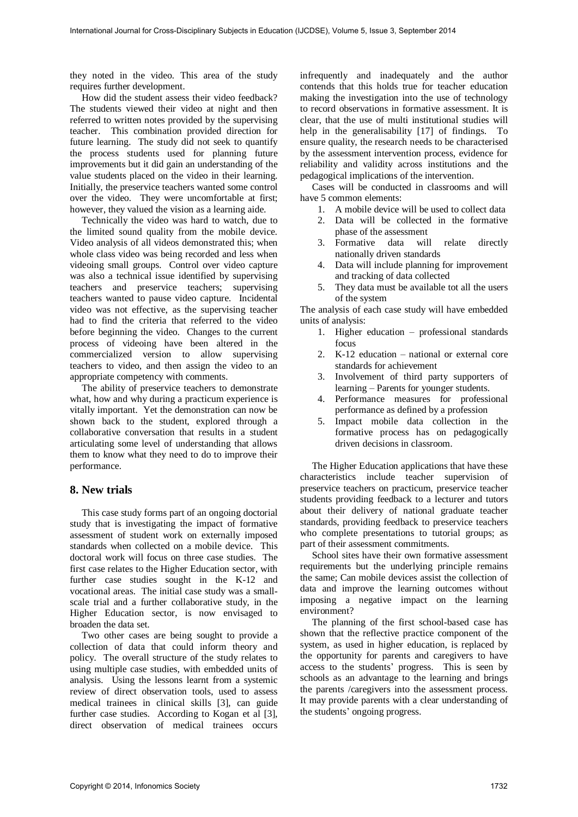they noted in the video. This area of the study requires further development.

How did the student assess their video feedback? The students viewed their video at night and then referred to written notes provided by the supervising teacher. This combination provided direction for future learning. The study did not seek to quantify the process students used for planning future improvements but it did gain an understanding of the value students placed on the video in their learning. Initially, the preservice teachers wanted some control over the video. They were uncomfortable at first; however, they valued the vision as a learning aide.

Technically the video was hard to watch, due to the limited sound quality from the mobile device. Video analysis of all videos demonstrated this; when whole class video was being recorded and less when videoing small groups. Control over video capture was also a technical issue identified by supervising teachers and preservice teachers; supervising teachers wanted to pause video capture. Incidental video was not effective, as the supervising teacher had to find the criteria that referred to the video before beginning the video. Changes to the current process of videoing have been altered in the commercialized version to allow supervising teachers to video, and then assign the video to an appropriate competency with comments.

The ability of preservice teachers to demonstrate what, how and why during a practicum experience is vitally important. Yet the demonstration can now be shown back to the student, explored through a collaborative conversation that results in a student articulating some level of understanding that allows them to know what they need to do to improve their performance.

#### **8. New trials**

This case study forms part of an ongoing doctorial study that is investigating the impact of formative assessment of student work on externally imposed standards when collected on a mobile device. This doctoral work will focus on three case studies. The first case relates to the Higher Education sector, with further case studies sought in the K-12 and vocational areas. The initial case study was a smallscale trial and a further collaborative study, in the Higher Education sector, is now envisaged to broaden the data set.

Two other cases are being sought to provide a collection of data that could inform theory and policy. The overall structure of the study relates to using multiple case studies, with embedded units of analysis. Using the lessons learnt from a systemic review of direct observation tools, used to assess medical trainees in clinical skills [3], can guide further case studies. According to Kogan et al [3], direct observation of medical trainees occurs

infrequently and inadequately and the author contends that this holds true for teacher education making the investigation into the use of technology to record observations in formative assessment. It is clear, that the use of multi institutional studies will help in the generalisability [17] of findings. To ensure quality, the research needs to be characterised by the assessment intervention process, evidence for reliability and validity across institutions and the pedagogical implications of the intervention.

Cases will be conducted in classrooms and will have 5 common elements:

- 1. A mobile device will be used to collect data
- 2. Data will be collected in the formative phase of the assessment
- 3. Formative data will relate directly nationally driven standards
- 4. Data will include planning for improvement and tracking of data collected
- 5. They data must be available tot all the users of the system

The analysis of each case study will have embedded units of analysis:

- 1. Higher education professional standards focus
- 2. K-12 education national or external core standards for achievement
- 3. Involvement of third party supporters of learning – Parents for younger students.
- 4. Performance measures for professional performance as defined by a profession
- 5. Impact mobile data collection in the formative process has on pedagogically driven decisions in classroom.

The Higher Education applications that have these characteristics include teacher supervision of preservice teachers on practicum, preservice teacher students providing feedback to a lecturer and tutors about their delivery of national graduate teacher standards, providing feedback to preservice teachers who complete presentations to tutorial groups; as part of their assessment commitments.

School sites have their own formative assessment requirements but the underlying principle remains the same; Can mobile devices assist the collection of data and improve the learning outcomes without imposing a negative impact on the learning environment?

The planning of the first school-based case has shown that the reflective practice component of the system, as used in higher education, is replaced by the opportunity for parents and caregivers to have access to the students' progress. This is seen by schools as an advantage to the learning and brings the parents /caregivers into the assessment process. It may provide parents with a clear understanding of the students' ongoing progress.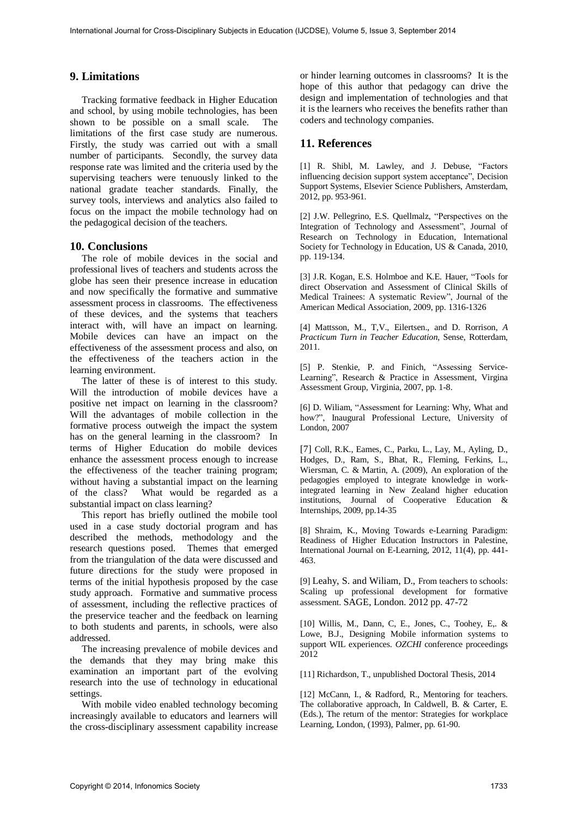# **9. Limitations**

Tracking formative feedback in Higher Education and school, by using mobile technologies, has been shown to be possible on a small scale. The limitations of the first case study are numerous. Firstly, the study was carried out with a small number of participants. Secondly, the survey data response rate was limited and the criteria used by the supervising teachers were tenuously linked to the national gradate teacher standards. Finally, the survey tools, interviews and analytics also failed to focus on the impact the mobile technology had on the pedagogical decision of the teachers.

#### **10. Conclusions**

The role of mobile devices in the social and professional lives of teachers and students across the globe has seen their presence increase in education and now specifically the formative and summative assessment process in classrooms. The effectiveness of these devices, and the systems that teachers interact with, will have an impact on learning. Mobile devices can have an impact on the effectiveness of the assessment process and also, on the effectiveness of the teachers action in the learning environment.

The latter of these is of interest to this study. Will the introduction of mobile devices have a positive net impact on learning in the classroom? Will the advantages of mobile collection in the formative process outweigh the impact the system has on the general learning in the classroom? In terms of Higher Education do mobile devices enhance the assessment process enough to increase the effectiveness of the teacher training program; without having a substantial impact on the learning of the class? What would be regarded as a substantial impact on class learning?

This report has briefly outlined the mobile tool used in a case study doctorial program and has described the methods, methodology and the research questions posed. Themes that emerged from the triangulation of the data were discussed and future directions for the study were proposed in terms of the initial hypothesis proposed by the case study approach. Formative and summative process of assessment, including the reflective practices of the preservice teacher and the feedback on learning to both students and parents, in schools, were also addressed.

The increasing prevalence of mobile devices and the demands that they may bring make this examination an important part of the evolving research into the use of technology in educational settings.

With mobile video enabled technology becoming increasingly available to educators and learners will the cross-disciplinary assessment capability increase or hinder learning outcomes in classrooms? It is the hope of this author that pedagogy can drive the design and implementation of technologies and that it is the learners who receives the benefits rather than coders and technology companies.

# **11. References**

[1] R. Shibl, M. Lawley, and J. Debuse, "Factors influencing decision support system acceptance", Decision Support Systems, Elsevier Science Publishers, Amsterdam, 2012, pp. 953-961.

[2] J.W. Pellegrino, E.S. Quellmalz, "Perspectives on the Integration of Technology and Assessment", Journal of Research on Technology in Education, International Society for Technology in Education, US & Canada, 2010, pp. 119-134.

[3] J.R. Kogan, E.S. Holmboe and K.E. Hauer, "Tools for direct Observation and Assessment of Clinical Skills of Medical Trainees: A systematic Review", Journal of the American Medical Association, 2009, pp. 1316-1326

[4] Mattsson, M., T,V., Eilertsen., and D. Rorrison, *A Practicum Turn in Teacher Education*, Sense, Rotterdam, 2011.

[5] P. Stenkie, P. and Finich, "Assessing Service-Learning", Research & Practice in Assessment, Virgina Assessment Group, Virginia, 2007, pp. 1-8.

[6] D. Wiliam, "Assessment for Learning: Why, What and how?", Inaugural Professional Lecture, University of London, 2007

[7] Coll, R.K., Eames, C., Parku, L., Lay, M., Ayling, D., Hodges, D., Ram, S., Bhat, R., Fleming, Ferkins, L., Wiersman, C. & Martin, A. (2009), An exploration of the pedagogies employed to integrate knowledge in workintegrated learning in New Zealand higher education institutions, Journal of Cooperative Education & Internships, 2009*,* pp.14-35

[8] Shraim, K., Moving Towards e-Learning Paradigm: Readiness of Higher Education Instructors in Palestine, International Journal on E-Learning, 2012, 11(4), pp. 441- 463.

[9] Leahy, S. and Wiliam, D., From teachers to schools: Scaling up professional development for formative assessment. SAGE, London. 2012 pp. 47-72

[10] Willis, M., Dann, C, E., Jones, C., Toohey, E,. & Lowe, B.J., Designing Mobile information systems to support WIL experiences. *OZCHI* conference proceedings 2012

[11] Richardson, T., unpublished Doctoral Thesis, 2014

[12] McCann, I., & Radford, R., Mentoring for teachers. The collaborative approach, In Caldwell, B. & Carter, E. (Eds.), The return of the mentor: Strategies for workplace Learning, London, (1993), Palmer, pp. 61-90.